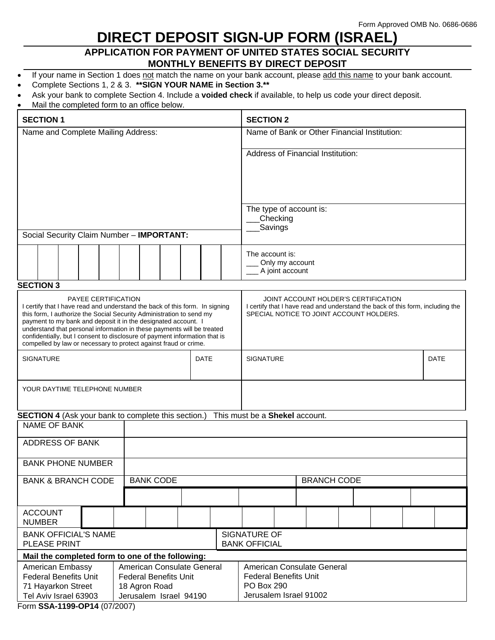# **DIRECT DEPOSIT SIGN-UP FORM (ISRAEL)**

# **APPLICATION FOR PAYMENT OF UNITED STATES SOCIAL SECURITY MONTHLY BENEFITS BY DIRECT DEPOSIT**

- If your name in Section 1 does not match the name on your bank account, please add this name to your bank account.
- Complete Sections 1, 2 & 3. **\*\*SIGN YOUR NAME in Section 3.\*\***
- Ask your bank to complete Section 4. Include a **voided check** if available, to help us code your direct deposit.
- Mail the completed form to an office below.

| <b>SECTION 1</b>                                                                                                                                                                                                                                                                                                                                                                                                                                                                |                                                  |  |  |  |                                                                                                                                                                    | <b>SECTION 2</b>                                      |                                                       |  |  |  |  |  |  |  |  |  |
|---------------------------------------------------------------------------------------------------------------------------------------------------------------------------------------------------------------------------------------------------------------------------------------------------------------------------------------------------------------------------------------------------------------------------------------------------------------------------------|--------------------------------------------------|--|--|--|--------------------------------------------------------------------------------------------------------------------------------------------------------------------|-------------------------------------------------------|-------------------------------------------------------|--|--|--|--|--|--|--|--|--|
| Name and Complete Mailing Address:                                                                                                                                                                                                                                                                                                                                                                                                                                              |                                                  |  |  |  | Name of Bank or Other Financial Institution:                                                                                                                       |                                                       |                                                       |  |  |  |  |  |  |  |  |  |
|                                                                                                                                                                                                                                                                                                                                                                                                                                                                                 |                                                  |  |  |  | <b>Address of Financial Institution:</b>                                                                                                                           |                                                       |                                                       |  |  |  |  |  |  |  |  |  |
|                                                                                                                                                                                                                                                                                                                                                                                                                                                                                 |                                                  |  |  |  |                                                                                                                                                                    | The type of account is:<br><b>Checking</b><br>Savings |                                                       |  |  |  |  |  |  |  |  |  |
|                                                                                                                                                                                                                                                                                                                                                                                                                                                                                 |                                                  |  |  |  |                                                                                                                                                                    |                                                       |                                                       |  |  |  |  |  |  |  |  |  |
| Social Security Claim Number - IMPORTANT:                                                                                                                                                                                                                                                                                                                                                                                                                                       |                                                  |  |  |  |                                                                                                                                                                    |                                                       |                                                       |  |  |  |  |  |  |  |  |  |
|                                                                                                                                                                                                                                                                                                                                                                                                                                                                                 |                                                  |  |  |  |                                                                                                                                                                    |                                                       | The account is:<br>Only my account<br>A joint account |  |  |  |  |  |  |  |  |  |
| <b>SECTION 3</b>                                                                                                                                                                                                                                                                                                                                                                                                                                                                |                                                  |  |  |  |                                                                                                                                                                    |                                                       |                                                       |  |  |  |  |  |  |  |  |  |
| <b>PAYEE CERTIFICATION</b><br>I certify that I have read and understand the back of this form. In signing<br>this form, I authorize the Social Security Administration to send my<br>payment to my bank and deposit it in the designated account. I<br>understand that personal information in these payments will be treated<br>confidentially, but I consent to disclosure of payment information that is<br>compelled by law or necessary to protect against fraud or crime. |                                                  |  |  |  | JOINT ACCOUNT HOLDER'S CERTIFICATION<br>I certify that I have read and understand the back of this form, including the<br>SPECIAL NOTICE TO JOINT ACCOUNT HOLDERS. |                                                       |                                                       |  |  |  |  |  |  |  |  |  |
| <b>SIGNATURE</b><br><b>DATE</b>                                                                                                                                                                                                                                                                                                                                                                                                                                                 |                                                  |  |  |  |                                                                                                                                                                    | <b>DATE</b><br><b>SIGNATURE</b>                       |                                                       |  |  |  |  |  |  |  |  |  |
| YOUR DAYTIME TELEPHONE NUMBER                                                                                                                                                                                                                                                                                                                                                                                                                                                   |                                                  |  |  |  |                                                                                                                                                                    |                                                       |                                                       |  |  |  |  |  |  |  |  |  |
| <b>SECTION 4</b> (Ask your bank to complete this section.) This must be a <b>Shekel</b> account.<br><b>NAME OF BANK</b>                                                                                                                                                                                                                                                                                                                                                         |                                                  |  |  |  |                                                                                                                                                                    |                                                       |                                                       |  |  |  |  |  |  |  |  |  |
| <b>ADDRESS OF BANK</b>                                                                                                                                                                                                                                                                                                                                                                                                                                                          |                                                  |  |  |  |                                                                                                                                                                    |                                                       |                                                       |  |  |  |  |  |  |  |  |  |
|                                                                                                                                                                                                                                                                                                                                                                                                                                                                                 |                                                  |  |  |  |                                                                                                                                                                    |                                                       |                                                       |  |  |  |  |  |  |  |  |  |
| <b>BANK PHONE NUMBER</b>                                                                                                                                                                                                                                                                                                                                                                                                                                                        |                                                  |  |  |  |                                                                                                                                                                    |                                                       |                                                       |  |  |  |  |  |  |  |  |  |
| <b>BANK CODE</b><br><b>BANK &amp; BRANCH CODE</b>                                                                                                                                                                                                                                                                                                                                                                                                                               |                                                  |  |  |  | <b>BRANCH CODE</b>                                                                                                                                                 |                                                       |                                                       |  |  |  |  |  |  |  |  |  |
|                                                                                                                                                                                                                                                                                                                                                                                                                                                                                 |                                                  |  |  |  |                                                                                                                                                                    |                                                       |                                                       |  |  |  |  |  |  |  |  |  |
| <b>ACCOUNT</b><br><b>NUMBER</b>                                                                                                                                                                                                                                                                                                                                                                                                                                                 |                                                  |  |  |  |                                                                                                                                                                    |                                                       |                                                       |  |  |  |  |  |  |  |  |  |
| SIGNATURE OF<br><b>BANK OFFICIAL'S NAME</b><br>PLEASE PRINT<br><b>BANK OFFICIAL</b>                                                                                                                                                                                                                                                                                                                                                                                             |                                                  |  |  |  |                                                                                                                                                                    |                                                       |                                                       |  |  |  |  |  |  |  |  |  |
|                                                                                                                                                                                                                                                                                                                                                                                                                                                                                 | Mail the completed form to one of the following: |  |  |  |                                                                                                                                                                    |                                                       |                                                       |  |  |  |  |  |  |  |  |  |
| American Consulate General<br>American Embassy<br><b>Federal Benefits Unit</b><br><b>Federal Benefits Unit</b><br>71 Hayarkon Street<br>18 Agron Road<br>Jerusalem Israel 94190<br>Tel Aviv Israel 63903                                                                                                                                                                                                                                                                        |                                                  |  |  |  | American Consulate General<br><b>Federal Benefits Unit</b><br>PO Box 290<br>Jerusalem Israel 91002                                                                 |                                                       |                                                       |  |  |  |  |  |  |  |  |  |